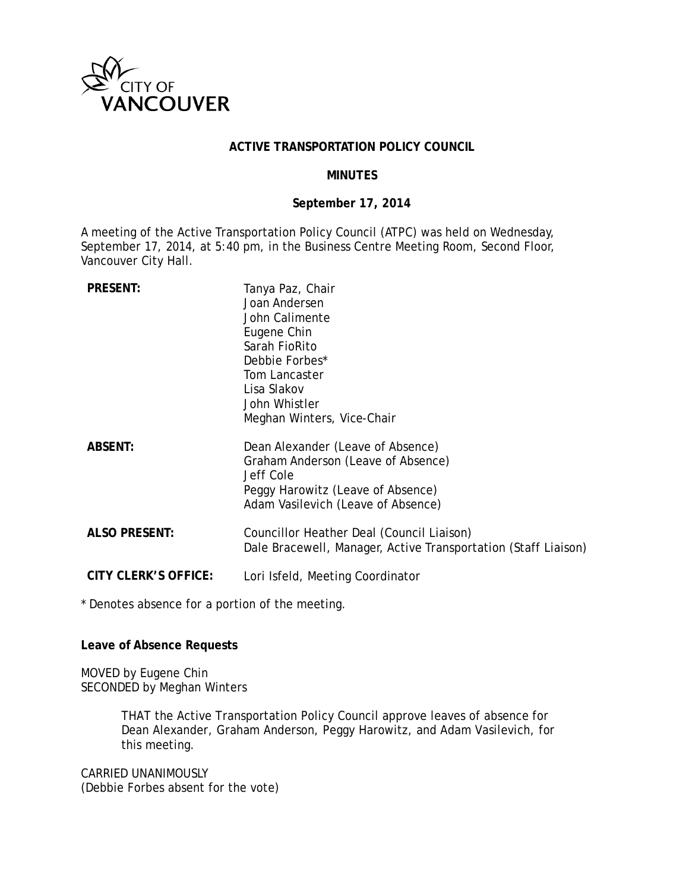

#### **ACTIVE TRANSPORTATION POLICY COUNCIL**

#### **MINUTES**

#### **September 17, 2014**

A meeting of the Active Transportation Policy Council (ATPC) was held on Wednesday, September 17, 2014, at 5:40 pm, in the Business Centre Meeting Room, Second Floor, Vancouver City Hall.

| <b>PRESENT:</b>             | Tanya Paz, Chair<br>Joan Andersen<br>John Calimente<br>Eugene Chin<br>Sarah FioRito<br>Debbie Forbes*<br>Tom Lancaster<br>Lisa Slakov<br>John Whistler<br>Meghan Winters, Vice-Chair |
|-----------------------------|--------------------------------------------------------------------------------------------------------------------------------------------------------------------------------------|
| <b>ABSENT:</b>              | Dean Alexander (Leave of Absence)<br>Graham Anderson (Leave of Absence)<br>Jeff Cole<br>Peggy Harowitz (Leave of Absence)<br>Adam Vasilevich (Leave of Absence)                      |
| <b>ALSO PRESENT:</b>        | Councillor Heather Deal (Council Liaison)<br>Dale Bracewell, Manager, Active Transportation (Staff Liaison)                                                                          |
| <b>CITY CLERK'S OFFICE:</b> | Lori Isfeld, Meeting Coordinator                                                                                                                                                     |

\* Denotes absence for a portion of the meeting.

#### **Leave of Absence Requests**

MOVED by Eugene Chin SECONDED by Meghan Winters

> THAT the Active Transportation Policy Council approve leaves of absence for Dean Alexander, Graham Anderson, Peggy Harowitz, and Adam Vasilevich, for this meeting.

CARRIED UNANIMOUSLY (Debbie Forbes absent for the vote)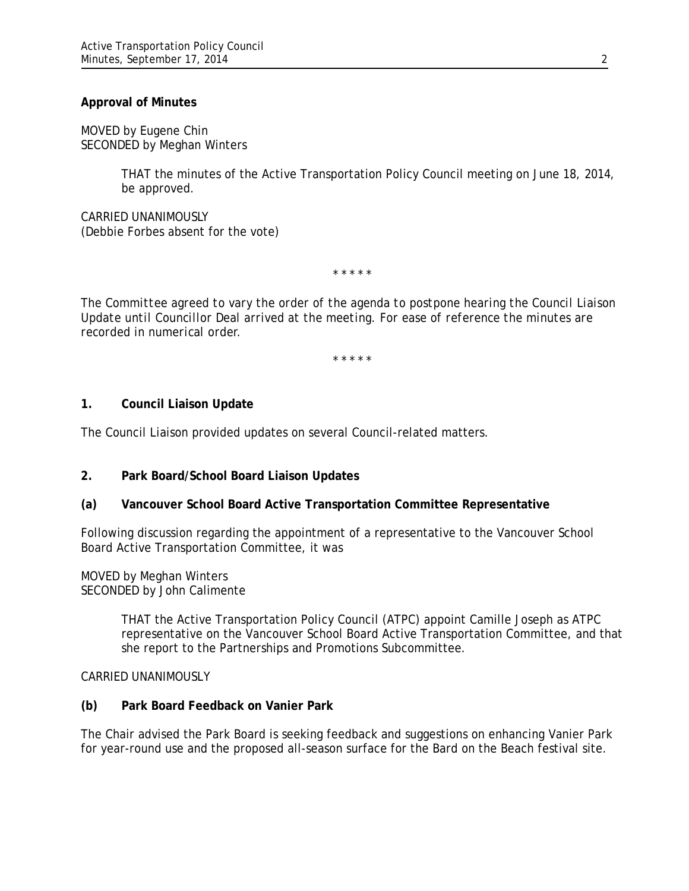#### **Approval of Minutes**

MOVED by Eugene Chin SECONDED by Meghan Winters

> THAT the minutes of the Active Transportation Policy Council meeting on June 18, 2014, be approved.

CARRIED UNANIMOUSLY (Debbie Forbes absent for the vote)

\* \* \* \* \*

*The Committee agreed to vary the order of the agenda to postpone hearing the Council Liaison Update until Councillor Deal arrived at the meeting. For ease of reference the minutes are recorded in numerical order.*

*\* \* \* \* \**

#### **1. Council Liaison Update**

The Council Liaison provided updates on several Council-related matters.

## **2. Park Board/School Board Liaison Updates**

## **(a) Vancouver School Board Active Transportation Committee Representative**

Following discussion regarding the appointment of a representative to the Vancouver School Board Active Transportation Committee, it was

MOVED by Meghan Winters SECONDED by John Calimente

> THAT the Active Transportation Policy Council (ATPC) appoint Camille Joseph as ATPC representative on the Vancouver School Board Active Transportation Committee, and that she report to the Partnerships and Promotions Subcommittee.

CARRIED UNANIMOUSLY

#### **(b) Park Board Feedback on Vanier Park**

The Chair advised the Park Board is seeking feedback and suggestions on enhancing Vanier Park for year-round use and the proposed all-season surface for the Bard on the Beach festival site.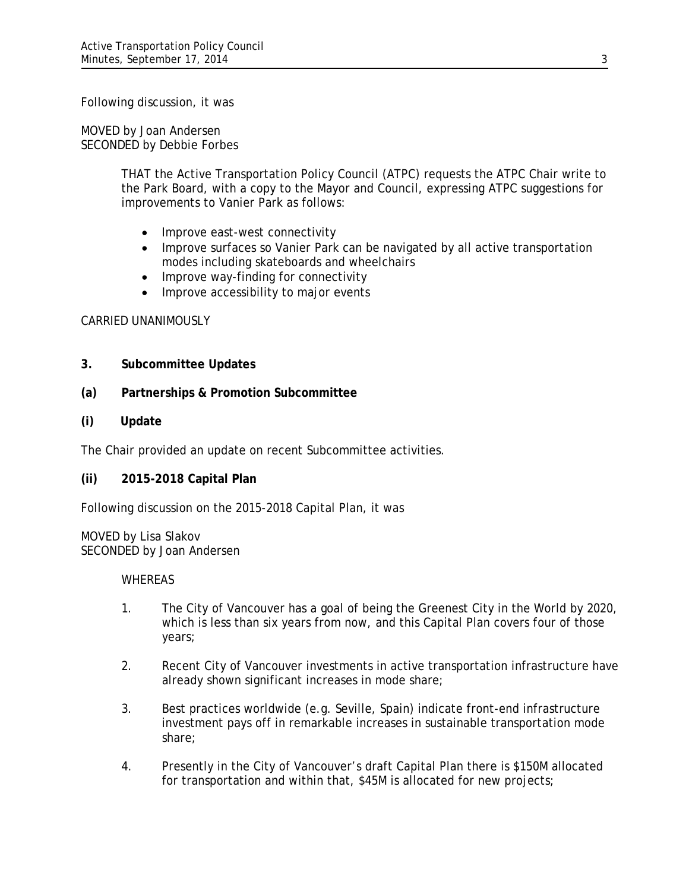Following discussion, it was

MOVED by Joan Andersen SECONDED by Debbie Forbes

> THAT the Active Transportation Policy Council (ATPC) requests the ATPC Chair write to the Park Board, with a copy to the Mayor and Council, expressing ATPC suggestions for improvements to Vanier Park as follows:

- Improve east-west connectivity
- Improve surfaces so Vanier Park can be navigated by all active transportation modes including skateboards and wheelchairs
- Improve way-finding for connectivity
- Improve accessibility to major events

## CARRIED UNANIMOUSLY

- **3. Subcommittee Updates**
- **(a) Partnerships & Promotion Subcommittee**
- **(i) Update**

The Chair provided an update on recent Subcommittee activities.

**(ii) 2015-2018 Capital Plan** 

Following discussion on the 2015-2018 Capital Plan, it was

MOVED by Lisa Slakov SECONDED by Joan Andersen

## **WHEREAS**

- 1. The City of Vancouver has a goal of being the Greenest City in the World by 2020, which is less than six years from now, and this Capital Plan covers four of those years;
- 2. Recent City of Vancouver investments in active transportation infrastructure have already shown significant increases in mode share;
- 3. Best practices worldwide (e.g. Seville, Spain) indicate front-end infrastructure investment pays off in remarkable increases in sustainable transportation mode share;
- 4. Presently in the City of Vancouver's draft Capital Plan there is \$150M allocated for transportation and within that, \$45M is allocated for new projects;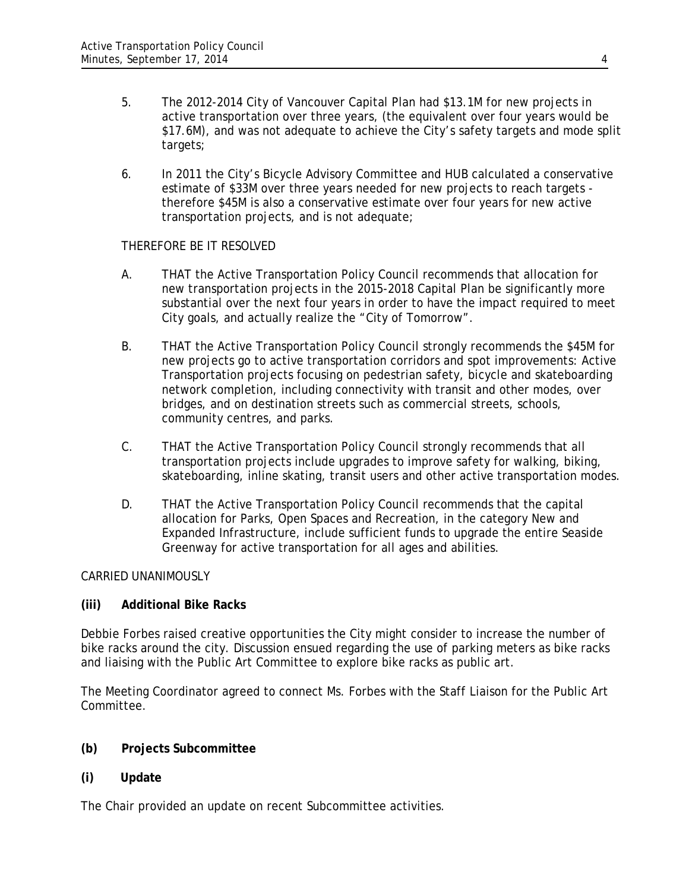- 5. The 2012-2014 City of Vancouver Capital Plan had \$13.1M for new projects in active transportation over three years, (the equivalent over four years would be \$17.6M), and was not adequate to achieve the City's safety targets and mode split targets;
- 6. In 2011 the City's Bicycle Advisory Committee and HUB calculated a conservative estimate of \$33M over three years needed for new projects to reach targets therefore \$45M is also a conservative estimate over four years for new active transportation projects, and is not adequate;

## THEREFORE BE IT RESOLVED

- A. THAT the Active Transportation Policy Council recommends that allocation for new transportation projects in the 2015-2018 Capital Plan be significantly more substantial over the next four years in order to have the impact required to meet City goals, and actually realize the "City of Tomorrow".
- B. THAT the Active Transportation Policy Council strongly recommends the \$45M for new projects go to active transportation corridors and spot improvements: Active Transportation projects focusing on pedestrian safety, bicycle and skateboarding network completion, including connectivity with transit and other modes, over bridges, and on destination streets such as commercial streets, schools, community centres, and parks.
- C. THAT the Active Transportation Policy Council strongly recommends that all transportation projects include upgrades to improve safety for walking, biking, skateboarding, inline skating, transit users and other active transportation modes.
- D. THAT the Active Transportation Policy Council recommends that the capital allocation for Parks, Open Spaces and Recreation, in the category New and Expanded Infrastructure, include sufficient funds to upgrade the entire Seaside Greenway for active transportation for all ages and abilities.

## CARRIED UNANIMOUSLY

# **(iii) Additional Bike Racks**

Debbie Forbes raised creative opportunities the City might consider to increase the number of bike racks around the city. Discussion ensued regarding the use of parking meters as bike racks and liaising with the Public Art Committee to explore bike racks as public art.

The Meeting Coordinator agreed to connect Ms. Forbes with the Staff Liaison for the Public Art Committee.

# **(b) Projects Subcommittee**

**(i) Update**

The Chair provided an update on recent Subcommittee activities.